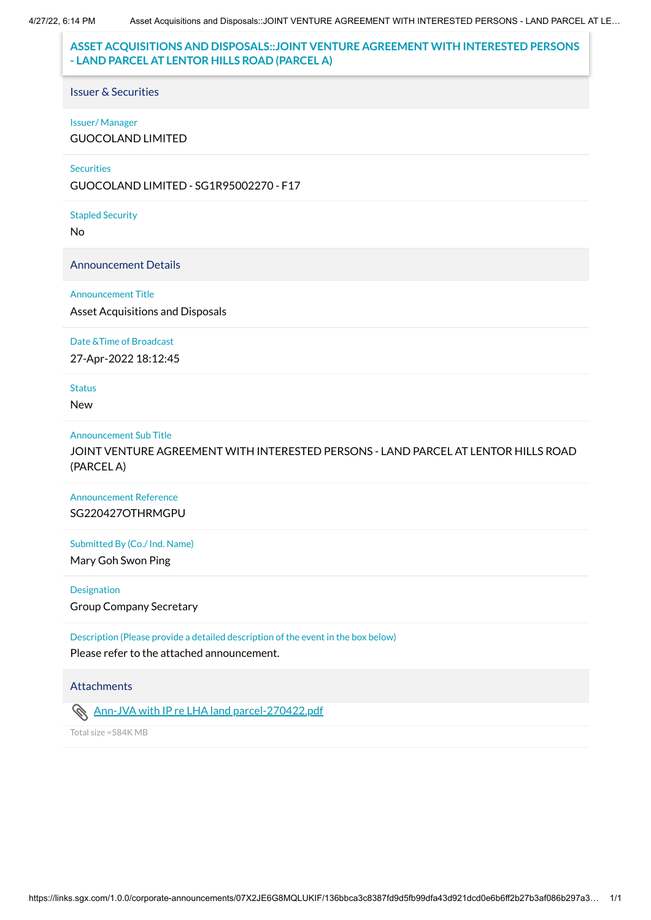# **ASSET ACQUISITIONS AND DISPOSALS::JOINT VENTURE AGREEMENT WITH INTERESTED PERSONS - LAND PARCEL AT LENTOR HILLS ROAD (PARCEL A)**

Issuer & Securities

#### Issuer/ Manager

GUOCOLAND LIMITED

## **Securities**

GUOCOLAND LIMITED - SG1R95002270 - F17

### Stapled Security

No

Announcement Details

## Announcement Title

Asset Acquisitions and Disposals

Date &Time of Broadcast

27-Apr-2022 18:12:45

Status

New

Announcement Sub Title

JOINT VENTURE AGREEMENT WITH INTERESTED PERSONS - LAND PARCEL AT LENTOR HILLS ROAD (PARCEL A)

# Announcement Reference SG220427OTHRMGPU

Submitted By (Co./ Ind. Name)

Mary Goh Swon Ping

Designation

Group Company Secretary

Description (Please provide a detailed description of the event in the box below) Please refer to the attached announcement.

**Attachments** 

Ann-JVA with IP re LHA land [parcel-270422.pdf](https://links.sgx.com/1.0.0/corporate-announcements/07X2JE6G8MQLUKIF/714369_Ann-JVA%20with%20IP%20re%20LHA%20land%20parcel-270422.pdf)

Total size =584K MB